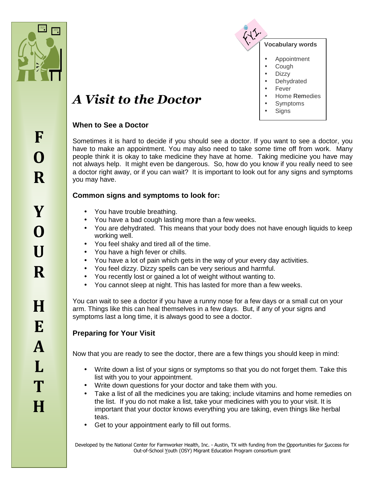



# *A Visit to the Doctor*

## **When to See a Doctor**

Sometimes it is hard to decide if you should see a doctor. If you want to see a doctor, you have to make an appointment. You may also need to take some time off from work. Many people think it is okay to take medicine they have at home. Taking medicine you have may not always help. It might even be dangerous. So, how do you know if you really need to see a doctor right away, or if you can wait? It is important to look out for any signs and symptoms you may have.

## **Common signs and symptoms to look for:**

- You have trouble breathing.
- You have a bad cough lasting more than a few weeks.
- You are dehydrated. This means that your body does not have enough liquids to keep working well.
- You feel shaky and tired all of the time.
- You have a high fever or chills.
- You have a lot of pain which gets in the way of your every day activities.
- You feel dizzy. Dizzy spells can be very serious and harmful.
- You recently lost or gained a lot of weight without wanting to.
- You cannot sleep at night. This has lasted for more than a few weeks.

You can wait to see a doctor if you have a runny nose for a few days or a small cut on your arm. Things like this can heal themselves in a few days. But, if any of your signs and symptoms last a long time, it is always good to see a doctor.

## **Preparing for Your Visit**

Now that you are ready to see the doctor, there are a few things you should keep in mind:

- Write down a list of your signs or symptoms so that you do not forget them. Take this list with you to your appointment.
- Write down questions for your doctor and take them with you.
- Take a list of all the medicines you are taking; include vitamins and home remedies on the list. If you do not make a list, take your medicines with you to your visit. It is important that your doctor knows everything you are taking, even things like herbal teas.
- Get to your appointment early to fill out forms.

Developed by the National Center for Farmworker Health, Inc. - Austin, TX with funding from the Opportunities for Success for Out-of-School Youth (OSY) Migrant Education Program consortium grant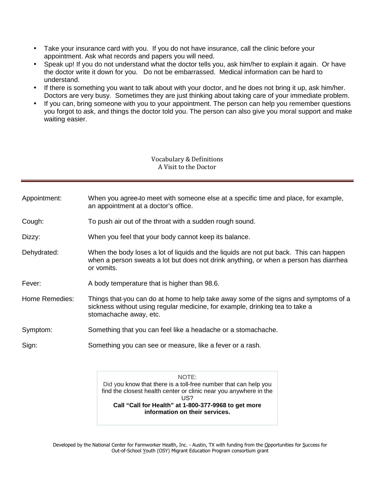- Take your insurance card with you. If you do not have insurance, call the clinic before your appointment. Ask what records and papers you will need.
- Speak up! If you do not understand what the doctor tells you, ask him/her to explain it again. Or have the doctor write it down for you. Do not be embarrassed. Medical information can be hard to understand.
- If there is something you want to talk about with your doctor, and he does not bring it up, ask him/her. Doctors are very busy. Sometimes they are just thinking about taking care of your immediate problem.
- If you can, bring someone with you to your appointment. The person can help you remember questions you forgot to ask, and things the doctor told you. The person can also give you moral support and make waiting easier.

#### Vocabulary & Definitions A Visit to the Doctor

- Appointment: When you agree to meet with someone else at a specific time and place, for example, an appointment at a doctor's office.
- Cough: To push air out of the throat with a sudden rough sound.
- Dizzy: When you feel that your body cannot keep its balance.
- Dehydrated: When the body loses a lot of liquids and the liquids are not put back. This can happen when a person sweats a lot but does not drink anything, or when a person has diarrhea or vomits.
- Fever: A body temperature that is higher than 98.6.
- Home Remedies: Things that-you can do at home to help take away some of the signs and symptoms of a sickness without using regular medicine, for example, drinking tea to take a stomachache away, etc.
- Symptom: Something that you can feel like a headache or a stomachache.
- Sign: Something you can see or measure, like a fever or a rash.

NOTE: Did you know that there is a toll-free number that can help you find the closest health center or clinic near you anywhere in the US? **Call "Call for Health" at 1-800-377-9968 to get more information on their services.**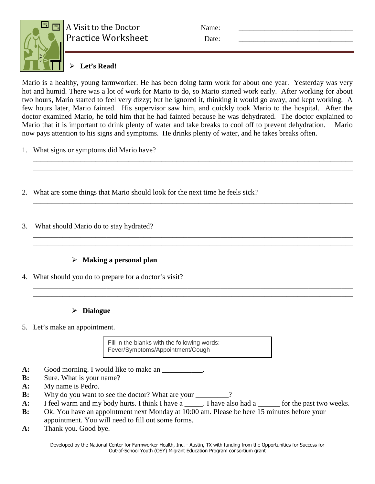

A Visit to the Doctor Name: Practice Worksheet Date:

# **Let's Read!**

Mario is a healthy, young farmworker. He has been doing farm work for about one year. Yesterday was very hot and humid. There was a lot of work for Mario to do, so Mario started work early. After working for about two hours, Mario started to feel very dizzy; but he ignored it, thinking it would go away, and kept working. A few hours later, Mario fainted. His supervisor saw him, and quickly took Mario to the hospital. After the doctor examined Mario, he told him that he had fainted because he was dehydrated. The doctor explained to Mario that it is important to drink plenty of water and take breaks to cool off to prevent dehydration. Mario now pays attention to his signs and symptoms. He drinks plenty of water, and he takes breaks often.

\_\_\_\_\_\_\_\_\_\_\_\_\_\_\_\_\_\_\_\_\_\_\_\_\_\_\_\_\_\_\_\_\_\_\_\_\_\_\_\_\_\_\_\_\_\_\_\_\_\_\_\_\_\_\_\_\_\_\_\_\_\_\_\_\_\_\_\_\_\_\_\_\_\_\_\_\_\_\_\_\_\_\_\_\_\_\_ \_\_\_\_\_\_\_\_\_\_\_\_\_\_\_\_\_\_\_\_\_\_\_\_\_\_\_\_\_\_\_\_\_\_\_\_\_\_\_\_\_\_\_\_\_\_\_\_\_\_\_\_\_\_\_\_\_\_\_\_\_\_\_\_\_\_\_\_\_\_\_\_\_\_\_\_\_\_\_\_\_\_\_\_\_\_\_

\_\_\_\_\_\_\_\_\_\_\_\_\_\_\_\_\_\_\_\_\_\_\_\_\_\_\_\_\_\_\_\_\_\_\_\_\_\_\_\_\_\_\_\_\_\_\_\_\_\_\_\_\_\_\_\_\_\_\_\_\_\_\_\_\_\_\_\_\_\_\_\_\_\_\_\_\_\_\_\_\_\_\_\_\_\_\_ \_\_\_\_\_\_\_\_\_\_\_\_\_\_\_\_\_\_\_\_\_\_\_\_\_\_\_\_\_\_\_\_\_\_\_\_\_\_\_\_\_\_\_\_\_\_\_\_\_\_\_\_\_\_\_\_\_\_\_\_\_\_\_\_\_\_\_\_\_\_\_\_\_\_\_\_\_\_\_\_\_\_\_\_\_\_\_

\_\_\_\_\_\_\_\_\_\_\_\_\_\_\_\_\_\_\_\_\_\_\_\_\_\_\_\_\_\_\_\_\_\_\_\_\_\_\_\_\_\_\_\_\_\_\_\_\_\_\_\_\_\_\_\_\_\_\_\_\_\_\_\_\_\_\_\_\_\_\_\_\_\_\_\_\_\_\_\_\_\_\_\_\_\_\_ \_\_\_\_\_\_\_\_\_\_\_\_\_\_\_\_\_\_\_\_\_\_\_\_\_\_\_\_\_\_\_\_\_\_\_\_\_\_\_\_\_\_\_\_\_\_\_\_\_\_\_\_\_\_\_\_\_\_\_\_\_\_\_\_\_\_\_\_\_\_\_\_\_\_\_\_\_\_\_\_\_\_\_\_\_\_\_

\_\_\_\_\_\_\_\_\_\_\_\_\_\_\_\_\_\_\_\_\_\_\_\_\_\_\_\_\_\_\_\_\_\_\_\_\_\_\_\_\_\_\_\_\_\_\_\_\_\_\_\_\_\_\_\_\_\_\_\_\_\_\_\_\_\_\_\_\_\_\_\_\_\_\_\_\_\_\_\_\_\_\_\_\_\_\_ \_\_\_\_\_\_\_\_\_\_\_\_\_\_\_\_\_\_\_\_\_\_\_\_\_\_\_\_\_\_\_\_\_\_\_\_\_\_\_\_\_\_\_\_\_\_\_\_\_\_\_\_\_\_\_\_\_\_\_\_\_\_\_\_\_\_\_\_\_\_\_\_\_\_\_\_\_\_\_\_\_\_\_\_\_\_\_

- 1. What signs or symptoms did Mario have?
- 2. What are some things that Mario should look for the next time he feels sick?
- 3. What should Mario do to stay hydrated?

# **Making a personal plan**

4. What should you do to prepare for a doctor's visit?

# **Dialogue**

5. Let's make an appointment.

Fill in the blanks with the following words: Fever/Symptoms/Appointment/Cough

- A: Good morning. I would like to make an \_\_\_\_\_\_\_\_\_\_\_.
- **B:** Sure. What is your name?
- **A:** My name is Pedro.
- **B:** Why do you want to see the doctor? What are your \_\_\_\_\_\_\_\_?
- A: I feel warm and my body hurts. I think I have a \_\_\_\_\_. I have also had a \_\_\_\_\_\_ for the past two weeks.
- **B:** Ok. You have an appointment next Monday at 10:00 am. Please be here 15 minutes before your appointment. You will need to fill out some forms.
- **A:** Thank you. Good bye.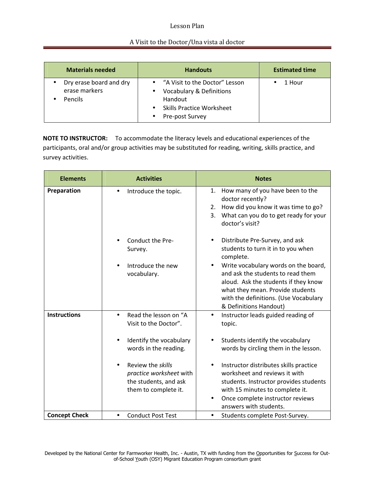### Lesson Plan

#### A Visit to the Doctor/Una vista al doctor

| <b>Materials needed</b>                             | <b>Handouts</b>                                                                                                                                                                             | <b>Estimated time</b> |
|-----------------------------------------------------|---------------------------------------------------------------------------------------------------------------------------------------------------------------------------------------------|-----------------------|
| Dry erase board and dry<br>erase markers<br>Pencils | "A Visit to the Doctor" Lesson<br>$\bullet$<br><b>Vocabulary &amp; Definitions</b><br>$\bullet$<br>Handout<br><b>Skills Practice Worksheet</b><br>$\bullet$<br>Pre-post Survey<br>$\bullet$ | 1 Hour                |

**NOTE TO INSTRUCTOR:** To accommodate the literacy levels and educational experiences of the participants, oral and/or group activities may be substituted for reading, writing, skills practice, and survey activities.

| <b>Elements</b>      | <b>Activities</b>                                                                                                                                                                                                             | <b>Notes</b>                                                                                                                                                                                                                                                                                                                                                                                        |  |
|----------------------|-------------------------------------------------------------------------------------------------------------------------------------------------------------------------------------------------------------------------------|-----------------------------------------------------------------------------------------------------------------------------------------------------------------------------------------------------------------------------------------------------------------------------------------------------------------------------------------------------------------------------------------------------|--|
| Preparation          | Introduce the topic.<br>$\bullet$                                                                                                                                                                                             | How many of you have been to the<br>1.<br>doctor recently?<br>How did you know it was time to go?<br>2.<br>What can you do to get ready for your<br>3.<br>doctor's visit?                                                                                                                                                                                                                           |  |
|                      | Conduct the Pre-<br>Survey.<br>Introduce the new<br>vocabulary.                                                                                                                                                               | Distribute Pre-Survey, and ask<br>$\bullet$<br>students to turn it in to you when<br>complete.<br>Write vocabulary words on the board,<br>$\bullet$<br>and ask the students to read them<br>aloud. Ask the students if they know<br>what they mean. Provide students<br>with the definitions. (Use Vocabulary<br>& Definitions Handout)                                                             |  |
| <b>Instructions</b>  | Read the lesson on "A<br>$\bullet$<br>Visit to the Doctor".<br>Identify the vocabulary<br>words in the reading.<br>Review the skills<br>$\bullet$<br>practice worksheet with<br>the students, and ask<br>them to complete it. | Instructor leads guided reading of<br>$\bullet$<br>topic.<br>Students identify the vocabulary<br>$\bullet$<br>words by circling them in the lesson.<br>Instructor distributes skills practice<br>$\bullet$<br>worksheet and reviews it with<br>students. Instructor provides students<br>with 15 minutes to complete it.<br>Once complete instructor reviews<br>$\bullet$<br>answers with students. |  |
| <b>Concept Check</b> | <b>Conduct Post Test</b><br>$\bullet$                                                                                                                                                                                         | Students complete Post-Survey.<br>$\bullet$                                                                                                                                                                                                                                                                                                                                                         |  |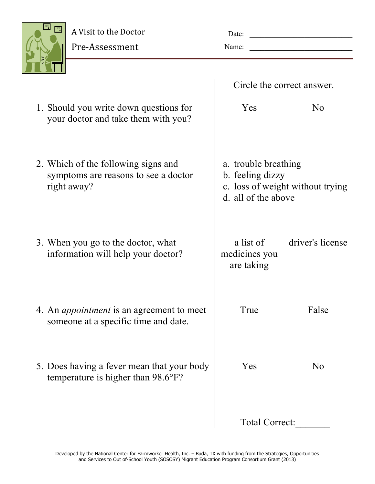| $\equiv$<br>æ |
|---------------|
| ٣             |

Pre.Assessment

| Date: |  |
|-------|--|
| Name: |  |

|                                                                                            | Circle the correct answer.                                      |                                  |
|--------------------------------------------------------------------------------------------|-----------------------------------------------------------------|----------------------------------|
| 1. Should you write down questions for<br>your doctor and take them with you?              | Yes                                                             | N <sub>0</sub>                   |
| 2. Which of the following signs and<br>symptoms are reasons to see a doctor<br>right away? | a. trouble breathing<br>b. feeling dizzy<br>d. all of the above | c. loss of weight without trying |
| 3. When you go to the doctor, what<br>information will help your doctor?                   | a list of<br>medicines you<br>are taking                        | driver's license                 |
| 4. An <i>appointment</i> is an agreement to meet<br>someone at a specific time and date.   | True                                                            | False                            |
| 5. Does having a fever mean that your body<br>temperature is higher than 98.6°F?           | Yes                                                             | N <sub>0</sub>                   |
|                                                                                            | Total Correct:                                                  |                                  |